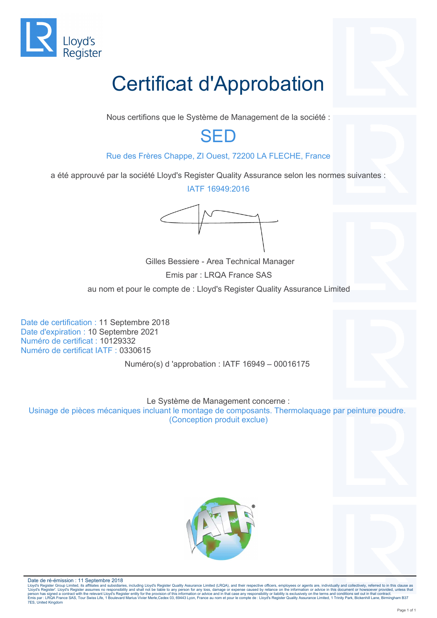

# Certificat d'Approbation

Nous certifions que le Système de Management de la société :

## SED

### Rue des Frères Chappe, ZI Ouest, 72200 LA FLECHE, France

a été approuvé par la société Lloyd's Register Quality Assurance selon les normes suivantes :

IATF 16949:2016



 Gilles Bessiere - Area Technical Manager Emis par : LRQA France SAS au nom et pour le compte de : Lloyd's Register Quality Assurance Limited

Date de certification : 11 Septembre 2018 Date d'expiration : 10 Septembre 2021 Numéro de certificat : 10129332 Numéro de certificat IATF : 0330615

Numéro(s) d 'approbation : IATF 16949 – 00016175

Le Système de Management concerne :

Usinage de pièces mécaniques incluant le montage de composants. Thermolaquage par peinture poudre. (Conception produit exclue)





Date de ré-émission : 11 Septembre 2018<br>Lloyd's Register Group Limited, its affiliates and subsidiaries, including Lloyd's Register Quality Assurance Limited (LRQA), and their respective officers, employees or agents are,